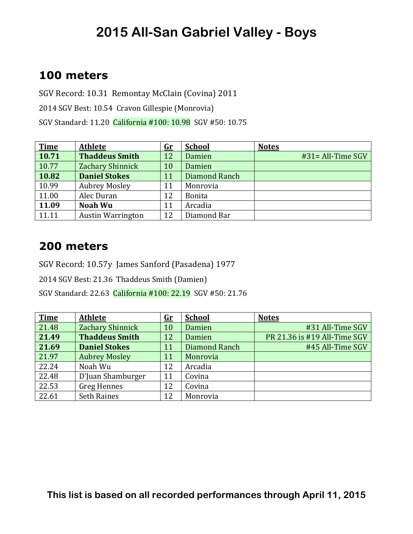### **100 meters**

SGV Record: 10.31 Remontay McClain (Covina) 2011 2014 SGV Best: 10.54 Cravon Gillespie (Monrovia) SGV Standard: 11.20 California #100: 10.98 SGV #50: 10.75

| <b>Time</b> | <b>Athlete</b>           | <u>Gr</u> | <b>School</b> | <b>Notes</b>         |
|-------------|--------------------------|-----------|---------------|----------------------|
| 10.71       | <b>Thaddeus Smith</b>    | 12        | Damien        | $#31 = All-Time SGV$ |
| 10.77       | Zachary Shinnick         | 10        | Damien        |                      |
| 10.82       | <b>Daniel Stokes</b>     | 11        | Diamond Ranch |                      |
| 10.99       | <b>Aubrey Mosley</b>     | 11        | Monrovia      |                      |
| 11.00       | Alec Duran               | 12        | <b>Bonita</b> |                      |
| 11.09       | <b>Noah Wu</b>           | 11        | Arcadia       |                      |
| 11.11       | <b>Austin Warrington</b> | 12        | Diamond Bar   |                      |

#### **200 meters**

SGV Record: 10.57y James Sanford (Pasadena) 1977

2014 SGV Best: 21.36 Thaddeus Smith (Damien)

SGV Standard: 22.63 California #100: 22.19 SGV #50: 21.76

| <b>Time</b> | <b>Athlete</b>        | $\mathbf{G}\mathbf{r}$ | <b>School</b> | <b>Notes</b>                 |
|-------------|-----------------------|------------------------|---------------|------------------------------|
| 21.48       | Zachary Shinnick      | 10                     | Damien        | #31 All-Time SGV             |
| 21.49       | <b>Thaddeus Smith</b> | 12                     | Damien        | PR 21.36 is #19 All-Time SGV |
| 21.69       | <b>Daniel Stokes</b>  | 11                     | Diamond Ranch | #45 All-Time SGV             |
| 21.97       | <b>Aubrey Mosley</b>  | 11                     | Monrovia      |                              |
| 22.24       | Noah Wu               | 12                     | Arcadia       |                              |
| 22.48       | D'Juan Shamburger     | 11                     | Covina        |                              |
| 22.53       | <b>Greg Hennes</b>    | 12                     | Covina        |                              |
| 22.61       | <b>Seth Raines</b>    | 12                     | Monrovia      |                              |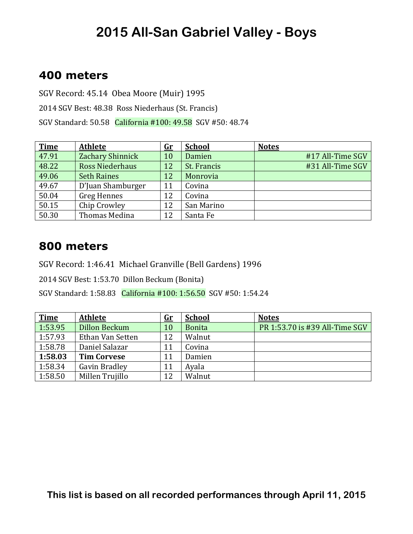### **400 meters**

SGV Record: 45.14 Obea Moore (Muir) 1995 2014 SGV Best: 48.38 Ross Niederhaus (St. Francis) SGV Standard: 50.58 California #100: 49.58 SGV #50: 48.74

| <b>Time</b> | <b>Athlete</b>         | $\mathbf{G}$ r | <b>School</b> | <b>Notes</b>     |
|-------------|------------------------|----------------|---------------|------------------|
| 47.91       | Zachary Shinnick       | 10             | Damien        | #17 All-Time SGV |
| 48.22       | <b>Ross Niederhaus</b> | 12             | St. Francis   | #31 All-Time SGV |
| 49.06       | <b>Seth Raines</b>     | 12             | Monrovia      |                  |
| 49.67       | D'Juan Shamburger      | 11             | Covina        |                  |
| 50.04       | <b>Greg Hennes</b>     | 12             | Covina        |                  |
| 50.15       | Chip Crowley           | 12             | San Marino    |                  |
| 50.30       | Thomas Medina          | 12             | Santa Fe      |                  |

#### **800 meters**

SGV Record: 1:46.41 Michael Granville (Bell Gardens) 1996

2014 SGV Best: 1:53.70 Dillon Beckum (Bonita)

SGV Standard: 1:58.83 California #100: 1:56.50 SGV #50: 1:54.24

| <b>Time</b> | <b>Athlete</b>       | <u>Gr</u> | <b>School</b> | <b>Notes</b>                   |
|-------------|----------------------|-----------|---------------|--------------------------------|
| 1:53.95     | <b>Dillon Beckum</b> | 10        | <b>Bonita</b> | PR 1:53.70 is #39 All-Time SGV |
| 1:57.93     | Ethan Van Setten     | 12        | Walnut        |                                |
| 1:58.78     | Daniel Salazar       | 11        | Covina        |                                |
| 1:58.03     | <b>Tim Corvese</b>   | 11        | Damien        |                                |
| 1:58.34     | Gavin Bradley        | 11        | Ayala         |                                |
| 1:58.50     | Millen Trujillo      | 12        | Walnut        |                                |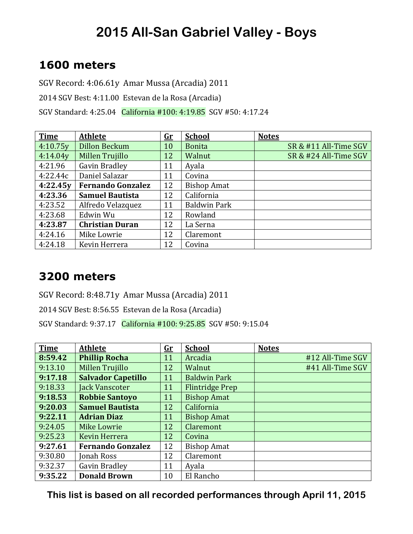### **1600 meters**

SGV Record: 4:06.61y Amar Mussa (Arcadia) 2011

2014 SGV Best: 4:11.00 Estevan de la Rosa (Arcadia)

SGV Standard: 4:25.04 California #100: 4:19.85 SGV #50: 4:17.24

| <b>Time</b> | <b>Athlete</b>           | <u>Gr</u> | <b>School</b>       | <b>Notes</b>          |
|-------------|--------------------------|-----------|---------------------|-----------------------|
| 4:10.75y    | <b>Dillon Beckum</b>     | 10        | <b>Bonita</b>       | SR & #11 All-Time SGV |
| 4:14.04y    | Millen Trujillo          | 12        | Walnut              | SR & #24 All-Time SGV |
| 4:21.96     | Gavin Bradley            | 11        | Ayala               |                       |
| 4:22.44c    | Daniel Salazar           | 11        | Covina              |                       |
| 4:22.45y    | <b>Fernando Gonzalez</b> | 12        | <b>Bishop Amat</b>  |                       |
| 4:23.36     | <b>Samuel Bautista</b>   | 12        | California          |                       |
| 4:23.52     | Alfredo Velazquez        | 11        | <b>Baldwin Park</b> |                       |
| 4:23.68     | Edwin Wu                 | 12        | Rowland             |                       |
| 4:23.87     | <b>Christian Duran</b>   | 12        | La Serna            |                       |
| 4:24.16     | Mike Lowrie              | 12        | Claremont           |                       |
| 4:24.18     | Kevin Herrera            | 12        | Covina              |                       |

#### **3200 meters**

SGV Record: 8:48.71y Amar Mussa (Arcadia) 2011

2014 SGV Best: 8:56.55 Estevan de la Rosa (Arcadia)

SGV Standard: 9:37.17 California #100: 9:25.85 SGV #50: 9:15.04

| <b>Time</b> | <b>Athlete</b>            | <u>Gr</u> | <b>School</b>          | <b>Notes</b>     |
|-------------|---------------------------|-----------|------------------------|------------------|
| 8:59.42     | <b>Phillip Rocha</b>      | 11        | Arcadia                | #12 All-Time SGV |
| 9:13.10     | Millen Trujillo           | 12        | Walnut                 | #41 All-Time SGV |
| 9:17.18     | <b>Salvador Capetillo</b> | 11        | <b>Baldwin Park</b>    |                  |
| 9:18.33     | Jack Vanscoter            | 11        | <b>Flintridge Prep</b> |                  |
| 9:18.53     | <b>Robbie Santoyo</b>     | 11        | <b>Bishop Amat</b>     |                  |
| 9:20.03     | <b>Samuel Bautista</b>    | 12        | California             |                  |
| 9:22.11     | <b>Adrian Diaz</b>        | 11        | <b>Bishop Amat</b>     |                  |
| 9:24.05     | <b>Mike Lowrie</b>        | 12        | Claremont              |                  |
| 9:25.23     | Kevin Herrera             | 12        | Covina                 |                  |
| 9:27.61     | <b>Fernando Gonzalez</b>  | 12        | <b>Bishop Amat</b>     |                  |
| 9:30.80     | Jonah Ross                | 12        | Claremont              |                  |
| 9:32.37     | Gavin Bradley             | 11        | Ayala                  |                  |
| 9:35.22     | <b>Donald Brown</b>       | 10        | El Rancho              |                  |

**This list is based on all recorded performances through April 11, 2015**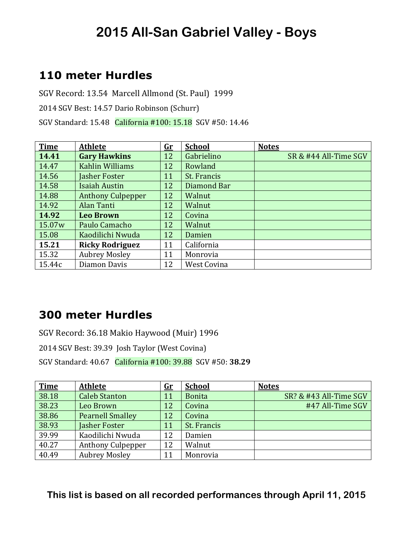### **110 meter Hurdles**

SGV Record: 13.54 Marcell Allmond (St. Paul) 1999 2014 SGV Best: 14.57 Dario Robinson (Schurr) SGV Standard: 15.48 California #100: 15.18 SGV #50: 14.46

| <b>Time</b> | <b>Athlete</b>           | <u>Gr</u> | <b>School</b> | <b>Notes</b>          |
|-------------|--------------------------|-----------|---------------|-----------------------|
| 14.41       | <b>Gary Hawkins</b>      | 12        | Gabrielino    | SR & #44 All-Time SGV |
| 14.47       | Kahlin Williams          | 12        | Rowland       |                       |
| 14.56       | <b>Jasher Foster</b>     | 11        | St. Francis   |                       |
| 14.58       | <b>Isaiah Austin</b>     | 12        | Diamond Bar   |                       |
| 14.88       | <b>Anthony Culpepper</b> | 12        | Walnut        |                       |
| 14.92       | Alan Tanti               | 12        | Walnut        |                       |
| 14.92       | <b>Leo Brown</b>         | 12        | Covina        |                       |
| 15.07w      | Paulo Camacho            | 12        | Walnut        |                       |
| 15.08       | Kaodilichi Nwuda         | 12        | Damien        |                       |
| 15.21       | <b>Ricky Rodriguez</b>   | 11        | California    |                       |
| 15.32       | <b>Aubrey Mosley</b>     | 11        | Monrovia      |                       |
| 15.44c      | Diamon Davis             | 12        | West Covina   |                       |

### **300 meter Hurdles**

SGV Record: 36.18 Makio Haywood (Muir) 1996

2014 SGV Best: 39.39 Josh Taylor (West Covina)

SGV Standard: 40.67 California #100: 39.88 SGV #50: **38.29**

| <b>Time</b> | <b>Athlete</b>           | $\mathbf{G}$ r | <b>School</b> | <b>Notes</b>           |
|-------------|--------------------------|----------------|---------------|------------------------|
| 38.18       | <b>Caleb Stanton</b>     | 11             | <b>Bonita</b> | SR? & #43 All-Time SGV |
| 38.23       | Leo Brown                | 12             | Covina        | #47 All-Time SGV       |
| 38.86       | <b>Pearnell Smalley</b>  | 12             | Covina        |                        |
| 38.93       | Jasher Foster            | 11             | St. Francis   |                        |
| 39.99       | Kaodilichi Nwuda         | 12             | Damien        |                        |
| 40.27       | <b>Anthony Culpepper</b> | 12             | Walnut        |                        |
| 40.49       | <b>Aubrey Mosley</b>     | 11             | Monrovia      |                        |

#### **This list is based on all recorded performances through April 11, 2015**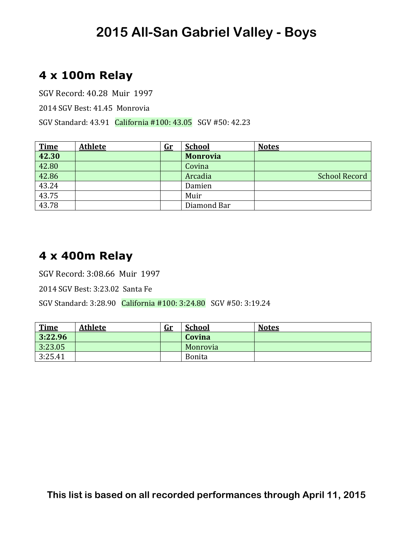### **4 x 100m Relay**

SGV Record: 40.28 Muir 1997

2014 SGV Best: 41.45 Monrovia

SGV Standard: 43.91 California #100: 43.05 SGV #50: 42.23

| <u>Time</u> | <b>Athlete</b> | $\mathbf{G}$ r | <b>School</b>   | <b>Notes</b>         |
|-------------|----------------|----------------|-----------------|----------------------|
| 42.30       |                |                | <b>Monrovia</b> |                      |
| 42.80       |                |                | Covina          |                      |
| 42.86       |                |                | Arcadia         | <b>School Record</b> |
| 43.24       |                |                | Damien          |                      |
| 43.75       |                |                | Muir            |                      |
| 43.78       |                |                | Diamond Bar     |                      |

### **4 x 400m Relay**

SGV Record: 3:08.66 Muir 1997

2014 SGV Best: 3:23.02 Santa Fe

SGV Standard: 3:28.90 California #100: 3:24.80 SGV #50: 3:19.24

| <b>Time</b> | <b>Athlete</b> | $\mathbf{Gr}$ | <b>School</b> | <b>Notes</b> |
|-------------|----------------|---------------|---------------|--------------|
| 3:22.96     |                |               | Covina        |              |
| 3:23.05     |                |               | Monrovia      |              |
| 3:25.41     |                |               | Bonita        |              |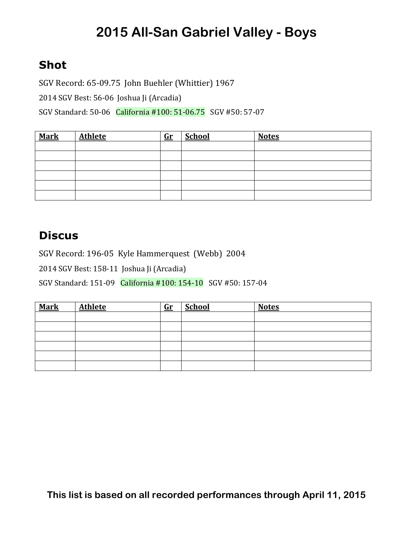### **Shot**

SGV Record: 65-09.75 John Buehler (Whittier) 1967 2014 SGV Best: 56-06 Joshua Ji (Arcadia) SGV Standard: 50-06 California #100: 51-06.75 SGV #50: 57-07

| <b>Mark</b> | <b>Athlete</b> | $\mathbf{Gr}$ | <b>School</b> | <b>Notes</b> |
|-------------|----------------|---------------|---------------|--------------|
|             |                |               |               |              |
|             |                |               |               |              |
|             |                |               |               |              |
|             |                |               |               |              |
|             |                |               |               |              |
|             |                |               |               |              |

#### **Discus**

SGV Record: 196-05 Kyle Hammerquest (Webb) 2004

2014 SGV Best: 158-11 Joshua Ji (Arcadia)

SGV Standard: 151-09 California #100: 154-10 SGV #50: 157-04

| <b>Mark</b> | <b>Athlete</b> | $G_{r}$ | <b>School</b> | <b>Notes</b> |
|-------------|----------------|---------|---------------|--------------|
|             |                |         |               |              |
|             |                |         |               |              |
|             |                |         |               |              |
|             |                |         |               |              |
|             |                |         |               |              |
|             |                |         |               |              |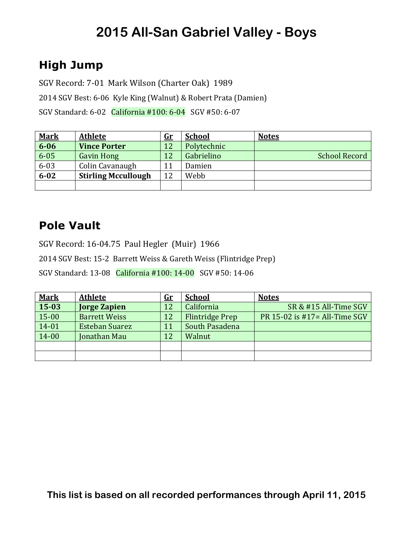## **High Jump**

SGV Record: 7-01 Mark Wilson (Charter Oak) 1989

2014 SGV Best: 6-06 Kyle King (Walnut) & Robert Prata (Damien)

SGV Standard: 6-02 California #100: 6-04 SGV #50: 6-07

| <b>Mark</b> | <b>Athlete</b>             | <u>Gr</u> | <b>School</b> | <b>Notes</b>         |
|-------------|----------------------------|-----------|---------------|----------------------|
| $6 - 06$    | <b>Vince Porter</b>        | 12        | Polytechnic   |                      |
| $6 - 05$    | <b>Gavin Hong</b>          | 12        | Gabrielino    | <b>School Record</b> |
| $6 - 03$    | Colin Cavanaugh            | 11        | Damien        |                      |
| $6 - 02$    | <b>Stirling Mccullough</b> | 12        | Webb          |                      |
|             |                            |           |               |                      |

### **Pole Vault**

SGV Record: 16-04.75 Paul Hegler (Muir) 1966

2014 SGV Best: 15-2 Barrett Weiss & Gareth Weiss (Flintridge Prep)

SGV Standard: 13-08 California #100: 14-00 SGV #50: 14-06

| <b>Mark</b> | <b>Athlete</b>        | <u>Gr</u> | <b>School</b>          | <b>Notes</b>                  |
|-------------|-----------------------|-----------|------------------------|-------------------------------|
| 15-03       | <b>Jorge Zapien</b>   | 12        | California             | SR & #15 All-Time SGV         |
| 15-00       | <b>Barrett Weiss</b>  | 12        | <b>Flintridge Prep</b> | PR 15-02 is #17= All-Time SGV |
| 14-01       | <b>Esteban Suarez</b> | 11        | South Pasadena         |                               |
| 14-00       | Jonathan Mau          | 12        | Walnut                 |                               |
|             |                       |           |                        |                               |
|             |                       |           |                        |                               |